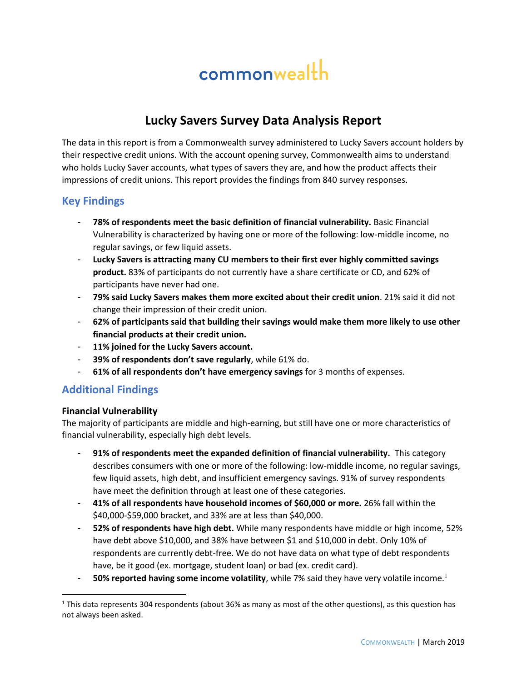# commonwealth

## **Lucky Savers Survey Data Analysis Report**

The data in this report is from a Commonwealth survey administered to Lucky Savers account holders by their respective credit unions. With the account opening survey, Commonwealth aims to understand who holds Lucky Saver accounts, what types of savers they are, and how the product affects their impressions of credit unions. This report provides the findings from 840 survey responses.

### **Key Findings**

- **78% of respondents meet the basic definition of financial vulnerability.** Basic Financial Vulnerability is characterized by having one or more of the following: low-middle income, no regular savings, or few liquid assets.
- **Lucky Savers is attracting many CU members to their first ever highly committed savings product.** 83% of participants do not currently have a share certificate or CD, and 62% of participants have never had one.
- **79% said Lucky Savers makes them more excited about their credit union**. 21% said it did not change their impression of their credit union.
- **62% of participants said that building their savings would make them more likely to use other financial products at their credit union.**
- **11% joined for the Lucky Savers account.**
- **39% of respondents don't save regularly**, while 61% do.
- **61% of all respondents don't have emergency savings** for 3 months of expenses.

### **Additional Findings**

#### **Financial Vulnerability**

l

The majority of participants are middle and high-earning, but still have one or more characteristics of financial vulnerability, especially high debt levels.

- **91% of respondents meet the expanded definition of financial vulnerability.** This category describes consumers with one or more of the following: low-middle income, no regular savings, few liquid assets, high debt, and insufficient emergency savings. 91% of survey respondents have meet the definition through at least one of these categories.
- **41% of all respondents have household incomes of \$60,000 or more.** 26% fall within the \$40,000-\$59,000 bracket, and 33% are at less than \$40,000.
- **52% of respondents have high debt.** While many respondents have middle or high income, 52% have debt above \$10,000, and 38% have between \$1 and \$10,000 in debt. Only 10% of respondents are currently debt-free. We do not have data on what type of debt respondents have, be it good (ex. mortgage, student loan) or bad (ex. credit card).
- **50% reported having some income volatility**, while 7% said they have very volatile income.<sup>1</sup>

 $1$  This data represents 304 respondents (about 36% as many as most of the other questions), as this question has not always been asked.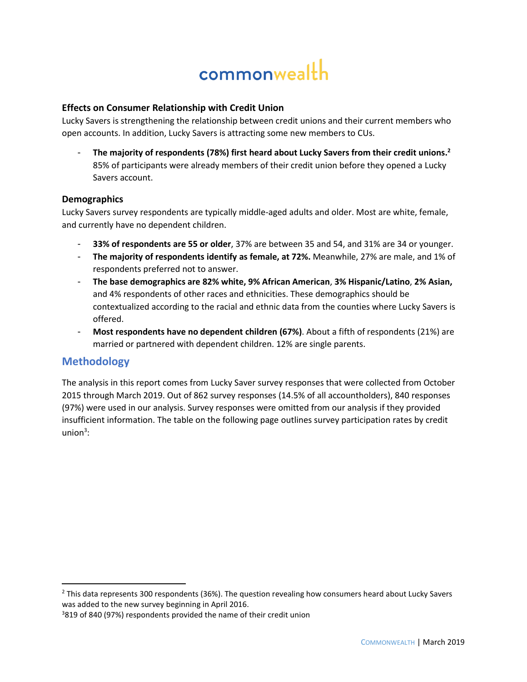# commonwealth

#### **Effects on Consumer Relationship with Credit Union**

Lucky Savers is strengthening the relationship between credit unions and their current members who open accounts. In addition, Lucky Savers is attracting some new members to CUs.

- **The majority of respondents (78%) first heard about Lucky Savers from their credit unions.<sup>2</sup>** 85% of participants were already members of their credit union before they opened a Lucky Savers account.

#### **Demographics**

Lucky Savers survey respondents are typically middle-aged adults and older. Most are white, female, and currently have no dependent children.

- **33% of respondents are 55 or older**, 37% are between 35 and 54, and 31% are 34 or younger.
- **The majority of respondents identify as female, at 72%.** Meanwhile, 27% are male, and 1% of respondents preferred not to answer.
- **The base demographics are 82% white, 9% African American**, **3% Hispanic/Latino**, **2% Asian,**  and 4% respondents of other races and ethnicities. These demographics should be contextualized according to the racial and ethnic data from the counties where Lucky Savers is offered.
- Most respondents have no dependent children (67%). About a fifth of respondents (21%) are married or partnered with dependent children. 12% are single parents.

### **Methodology**

 $\overline{\phantom{a}}$ 

The analysis in this report comes from Lucky Saver survey responses that were collected from October 2015 through March 2019. Out of 862 survey responses (14.5% of all accountholders), 840 responses (97%) were used in our analysis. Survey responses were omitted from our analysis if they provided insufficient information. The table on the following page outlines survey participation rates by credit  $union<sup>3</sup>$ :

<sup>&</sup>lt;sup>2</sup> This data represents 300 respondents (36%). The question revealing how consumers heard about Lucky Savers was added to the new survey beginning in April 2016.

<sup>&</sup>lt;sup>3</sup>819 of 840 (97%) respondents provided the name of their credit union